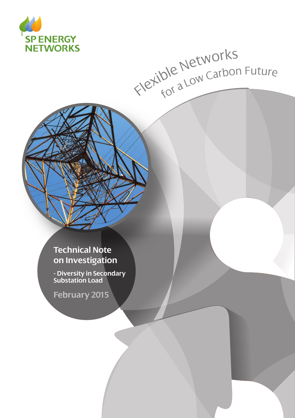

# Flexible Networks<br>Flexible Networks

# **Technical Note on Investigation**

**- Diversity in Secondary Substation Load**

**February 2015**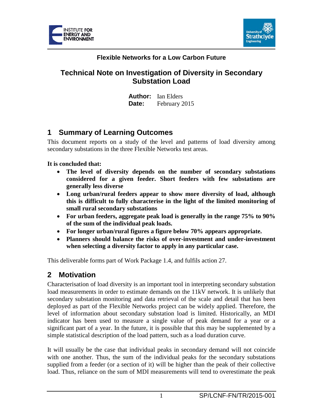



#### **Flexible Networks for a Low Carbon Future**

## **Technical Note on Investigation of Diversity in Secondary Substation Load**

**Author:** Ian Elders **Date:** February 2015

## **1 Summary of Learning Outcomes**

This document reports on a study of the level and patterns of load diversity among secondary substations in the three Flexible Networks test areas.

#### **It is concluded that:**

- **The level of diversity depends on the number of secondary substations considered for a given feeder. Short feeders with few substations are generally less diverse**
- **Long urban/rural feeders appear to show more diversity of load, although this is difficult to fully characterise in the light of the limited monitoring of small rural secondary substations**
- **For urban feeders, aggregate peak load is generally in the range 75% to 90% of the sum of the individual peak loads.**
- **For longer urban/rural figures a figure below 70% appears appropriate.**
- **Planners should balance the risks of over-investment and under-investment when selecting a diversity factor to apply in any particular case.**

This deliverable forms part of Work Package 1.4, and fulfils action 27.

# **2 Motivation**

Characterisation of load diversity is an important tool in interpreting secondary substation load measurements in order to estimate demands on the 11kV network. It is unlikely that secondary substation monitoring and data retrieval of the scale and detail that has been deployed as part of the Flexible Networks project can be widely applied. Therefore, the level of information about secondary substation load is limited. Historically, an MDI indicator has been used to measure a single value of peak demand for a year or a significant part of a year. In the future, it is possible that this may be supplemented by a simple statistical description of the load pattern, such as a load duration curve.

It will usually be the case that individual peaks in secondary demand will not coincide with one another. Thus, the sum of the individual peaks for the secondary substations supplied from a feeder (or a section of it) will be higher than the peak of their collective load. Thus, reliance on the sum of MDI measurements will tend to overestimate the peak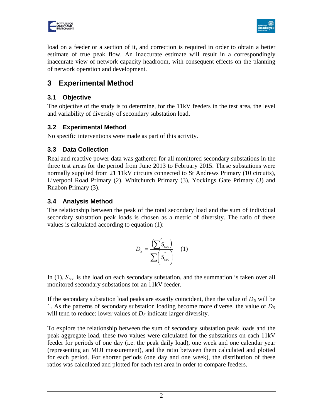



load on a feeder or a section of it, and correction is required in order to obtain a better estimate of true peak flow. An inaccurate estimate will result in a correspondingly inaccurate view of network capacity headroom, with consequent effects on the planning of network operation and development.

# **3 Experimental Method**

#### **3.1 Objective**

The objective of the study is to determine, for the 11kV feeders in the test area, the level and variability of diversity of secondary substation load.

#### **3.2 Experimental Method**

No specific interventions were made as part of this activity.

#### **3.3 Data Collection**

Real and reactive power data was gathered for all monitored secondary substations in the three test areas for the period from June 2013 to February 2015. These substations were normally supplied from 21 11kV circuits connected to St Andrews Primary (10 circuits), Liverpool Road Primary (2), Whitchurch Primary (3), Yockings Gate Primary (3) and Ruabon Primary (3).

#### **3.4 Analysis Method**

The relationship between the peak of the total secondary load and the sum of individual secondary substation peak loads is chosen as a metric of diversity. The ratio of these values is calculated according to equation (1):

$$
D_{S} = \frac{\left(\sum \mathbf{\hat{S}}_{\text{sec}}\right)}{\sum \left(\mathbf{\hat{S}}_{\text{sec}}\right)} \quad (1)
$$

In (1),  $S_{\text{sec}}$  is the load on each secondary substation, and the summation is taken over all monitored secondary substations for an 11kV feeder.

If the secondary substation load peaks are exactly coincident, then the value of  $D<sub>S</sub>$  will be 1. As the patterns of secondary substation loading become more diverse, the value of *DS* will tend to reduce: lower values of  $D<sub>S</sub>$  indicate larger diversity.

To explore the relationship between the sum of secondary substation peak loads and the peak aggregate load, these two values were calculated for the substations on each 11kV feeder for periods of one day (i.e. the peak daily load), one week and one calendar year (representing an MDI measurement), and the ratio between them calculated and plotted for each period. For shorter periods (one day and one week), the distribution of these ratios was calculated and plotted for each test area in order to compare feeders.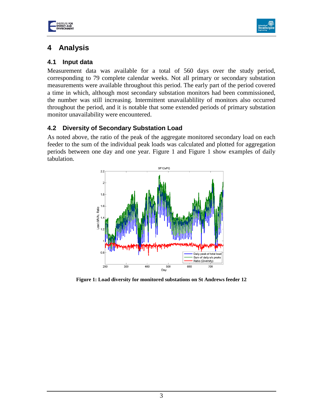



# **4 Analysis**

#### **4.1 Input data**

Measurement data was available for a total of 560 days over the study period, corresponding to 79 complete calendar weeks. Not all primary or secondary substation measurements were available throughout this period. The early part of the period covered a time in which, although most secondary substation monitors had been commissioned, the number was still increasing. Intermittent unavailablility of monitors also occurred throughout the period, and it is notable that some extended periods of primary substation monitor unavailability were encountered.

#### **4.2 Diversity of Secondary Substation Load**

As noted above, the ratio of the peak of the aggregate monitored secondary load on each feeder to the sum of the individual peak loads was calculated and plotted for aggregation periods between one day and one year. [Figure 1](#page-3-0) and [Figure 1](#page-4-0) show examples of daily tabulation.



<span id="page-3-0"></span>**Figure 1: Load diversity for monitored substations on St Andrews feeder 12**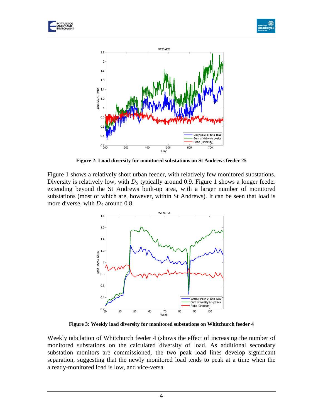





**Figure 2: Load diversity for monitored substations on St Andrews feeder 25**

<span id="page-4-0"></span>[Figure 1](#page-3-0) shows a relatively short urban feeder, with relatively few monitored substations. Diversity is relatively low, with  $D<sub>S</sub>$  typically around 0.9. [Figure 1](#page-4-0) shows a longer feeder extending beyond the St Andrews built-up area, with a larger number of monitored substations (most of which are, however, within St Andrews). It can be seen that load is more diverse, with  $D<sub>S</sub>$  around 0.8.



**Figure 3: Weekly load diversity for monitored substations on Whitchurch feeder 4**

Weekly tabulation of Whitchurch feeder 4 (shows the effect of increasing the number of monitored substations on the calculated diversity of load. As additional secondary substation monitors are commissioned, the two peak load lines develop significant separation, suggesting that the newly monitored load tends to peak at a time when the already-monitored load is low, and vice-versa.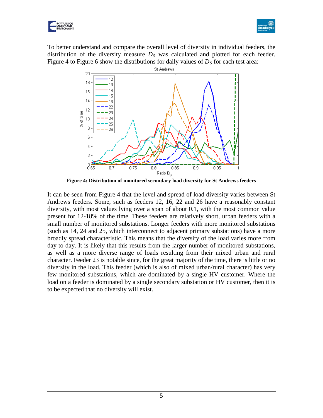



To better understand and compare the overall level of diversity in individual feeders, the distribution of the diversity measure  $D<sub>S</sub>$  was calculated and plotted for each feeder. [Figure 4](#page-5-0) to [Figure 6](#page-6-0) show the distributions for daily values of  $D<sub>S</sub>$  for each test area:



**Figure 4: Distribution of monitored secondary load diversity for St Andrews feeders**

<span id="page-5-0"></span>It can be seen from [Figure 4](#page-5-0) that the level and spread of load diversity varies between St Andrews feeders. Some, such as feeders 12, 16, 22 and 26 have a reasonably constant diversity, with most values lying over a span of about 0.1, with the most common value present for 12-18% of the time. These feeders are relatively short, urban feeders with a small number of monitored substations. Longer feeders with more monitored substations (such as 14, 24 and 25, which interconnect to adjacent primary substations) have a more broadly spread characteristic. This means that the diversity of the load varies more from day to day. It is likely that this results from the larger number of monitored substations, as well as a more diverse range of loads resulting from their mixed urban and rural character. Feeder 23 is notable since, for the great majority of the time, there is little or no diversity in the load. This feeder (which is also of mixed urban/rural character) has very few monitored substations, which are dominated by a single HV customer. Where the load on a feeder is dominated by a single secondary substation or HV customer, then it is to be expected that no diversity will exist.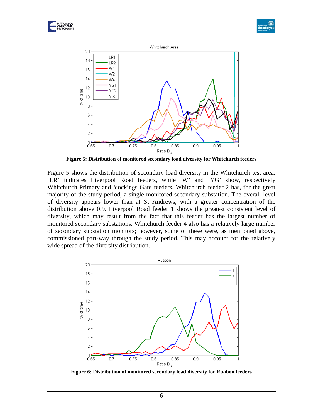





**Figure 5: Distribution of monitored secondary load diversity for Whitchurch feeders**

<span id="page-6-1"></span>[Figure 5](#page-6-1) shows the distribution of secondary load diversity in the Whitchurch test area. 'LR' indicates Liverpool Road feeders, while 'W' and 'YG' show, respectively Whitchurch Primary and Yockings Gate feeders. Whitchurch feeder 2 has, for the great majority of the study period, a single monitored secondary substation. The overall level of diversity appears lower than at St Andrews, with a greater concentration of the distribution above 0.9. Liverpool Road feeder 1 shows the greatest consistent level of diversity, which may result from the fact that this feeder has the largest number of monitored secondary substations. Whitchurch feeder 4 also has a relatively large number of secondary substation monitors; however, some of these were, as mentioned above, commissioned part-way through the study period. This may account for the relatively wide spread of the diversity distribution.



<span id="page-6-0"></span>**Figure 6: Distribution of monitored secondary load diversity for Ruabon feeders**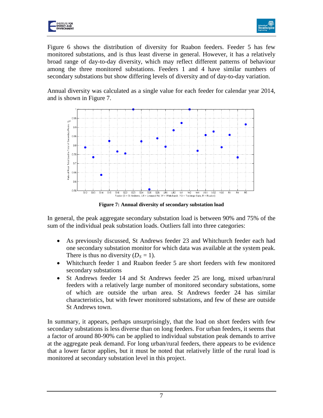



[Figure 6](#page-6-0) shows the distribution of diversity for Ruabon feeders. Feeder 5 has few monitored substations, and is thus least diverse in general. However, it has a relatively broad range of day-to-day diversity, which may reflect different patterns of behaviour among the three monitored substations. Feeders 1 and 4 have similar numbers of secondary substations but show differing levels of diversity and of day-to-day variation.

Annual diversity was calculated as a single value for each feeder for calendar year 2014, and is shown in [Figure 7.](#page-7-0)



**Figure 7: Annual diversity of secondary substation load**

<span id="page-7-0"></span>In general, the peak aggregate secondary substation load is between 90% and 75% of the sum of the individual peak substation loads. Outliers fall into three categories:

- As previously discussed, St Andrews feeder 23 and Whitchurch feeder each had one secondary substation monitor for which data was available at the system peak. There is thus no diversity  $(D<sub>S</sub> = 1)$ .
- Whitchurch feeder 1 and Ruabon feeder 5 are short feeders with few monitored secondary substations
- St Andrews feeder 14 and St Andrews feeder 25 are long, mixed urban/rural feeders with a relatively large number of monitored secondary substations, some of which are outside the urban area. St Andrews feeder 24 has similar characteristics, but with fewer monitored substations, and few of these are outside St Andrews town.

In summary, it appears, perhaps unsurprisingly, that the load on short feeders with few secondary substations is less diverse than on long feeders. For urban feeders, it seems that a factor of around 80-90% can be applied to individual substation peak demands to arrive at the aggregate peak demand. For long urban/rural feeders, there appears to be evidence that a lower factor applies, but it must be noted that relatively little of the rural load is monitored at secondary substation level in this project.